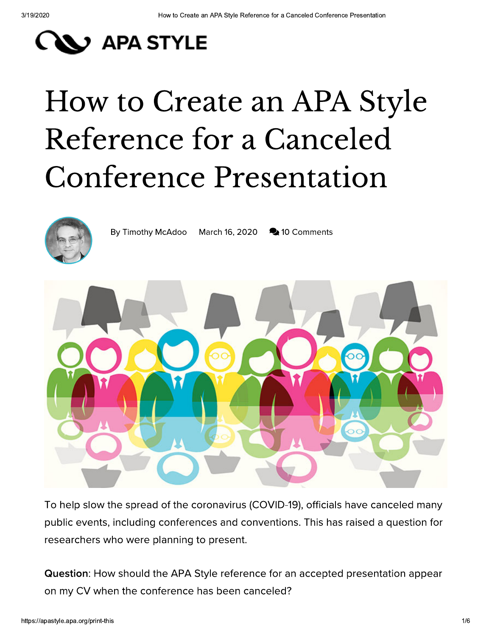### **EX APA STYLE**

# How to Create an APA Style Reference for a Canceled **Conference Presentation**



By Timothy McAdoo March 16, 2020 210 Comments



To help slow the spread of the coronavirus (COVID-19), officials have canceled many public events, including conferences and conventions. This has raised a question for researchers who were planning to present.

Question: How should the APA Style reference for an accepted presentation appear on my CV when the conference has been canceled?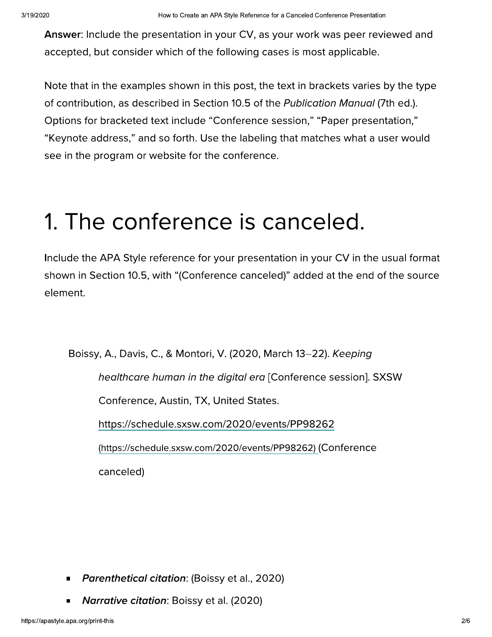Answer: Include the presentation in your CV, as your work was peer reviewed and accepted, but consider which of the following cases is most applicable.

Note that in the examples shown in this post, the text in brackets varies by the type of contribution, as described in Section 10.5 of the Publication Manual (7th ed.). Options for bracketed text include "Conference session," "Paper presentation," "Keynote address," and so forth. Use the labeling that matches what a user would see in the program or website for the conference.

#### 1. The conference is canceled.

Include the APA Style reference for your presentation in your CV in the usual format shown in Section 10.5, with "(Conference canceled)" added at the end of the source element.

Boissy, A., Davis, C., & Montori, V. (2020, March 13-22). Keeping

healthcare human in the digital era [Conference session]. SXSW

Conference, Austin, TX, United States.

https://schedule.sxsw.com/2020/events/PP98262

(https://schedule.sxsw.com/2020/events/PP98262) (Conference

canceled)

- **Parenthetical citation: (Boissy et al., 2020)**
- **Narrative citation:** Boissy et al. (2020)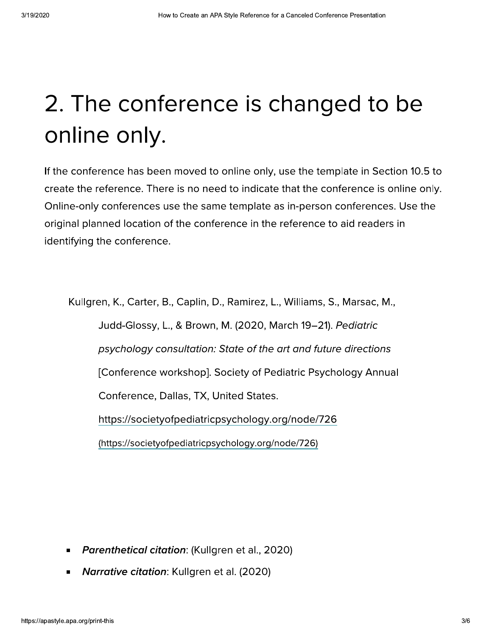#### 2. The conference is changed to be online only.

If the conference has been moved to online only, use the template in Section 10.5 to create the reference. There is no need to indicate that the conference is online only. Online-only conferences use the same template as in-person conferences. Use the original planned location of the conference in the reference to aid readers in identifying the conference.

Kullgren, K., Carter, B., Caplin, D., Ramirez, L., Williams, S., Marsac, M., Judd-Glossy, L., & Brown, M. (2020, March 19-21). Pediatric psychology consultation: State of the art and future directions [Conference workshop]. Society of Pediatric Psychology Annual Conference, Dallas, TX, United States. https://societyofpediatricpsychology.org/node/726 (https://societyofpediatricpsychology.org/node/726)

- Parenthetical citation: (Kullgren et al., 2020)  $\blacksquare$
- Narrative citation: Kullgren et al. (2020)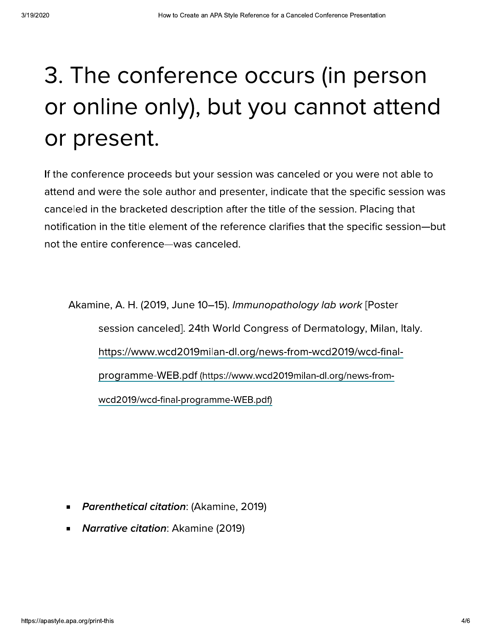#### 3. The conference occurs (in person or online only), but you cannot attend or present.

If the conference proceeds but your session was canceled or you were not able to attend and were the sole author and presenter, indicate that the specific session was canceled in the bracketed description after the title of the session. Placing that notification in the title element of the reference clarifies that the specific session-but not the entire conference—was canceled.

Akamine, A. H. (2019, June 10–15). Immunopathology lab work [Poster session canceled]. 24th World Congress of Dermatology, Milan, Italy. https://www.wcd2019milan-dl.org/news-from-wcd2019/wcd-finalprogramme-WEB.pdf (https://www.wcd2019milan-dl.org/news-fromwcd2019/wcd-final-programme-WEB.pdf)

- Parenthetical citation: (Akamine, 2019)
- **Narrative citation: Akamine (2019)**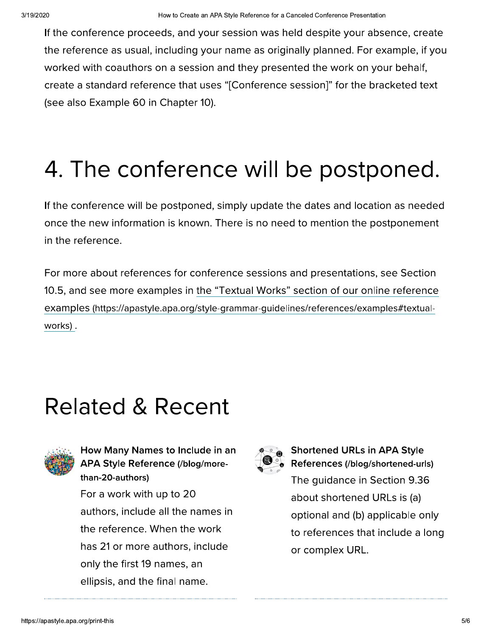If the conference proceeds, and your session was held despite your absence, create <sup>3/19/2020</sup><br>
If the conference proceed<br>
the reference as usual, in<br>
worked with coauthors or<br>
create a standard referen<br>
(see also Example 60 in C to Create an APA Style Reference for a Canceled Conference Presentation<br>
and your session was held despite your abse<br>
uding your name as originally planned. For exa<br>
i session and they presented the work on you!<br>
ethat use <sup>3/19/2020</sup><br>
If the conference proce-<br>
the reference as usual,<br>
worked with coauthors<br>
create a standard refere<br>
(see also Example 60 in reference as usual, including your name as originally planned. For example, if you worked with coauthors on a session and they presented the work on your be <sup>3/19/2020</sup><br>
If the conference proceeds, and y-<br>
the reference as usual, including y-<br>
worked with coauthors on a sessic<br>
create a standard reference that u<br>
(see also Example 60 in Chapter 1 <sup>How to Create an APA Style<br>
If the conference proceeds, and your ses:<br>
the reference as usual, including your nar<br>
worked with coauthors on a session and t<br>
create a standard reference that uses "[C<br>
(see also Example 60 </sup> How to Create an APA Style Reference for a Canceled Conference<br>rrocceeds, and your session was held despite y<br>sual, including your name as originally planned<br>hors on a session and they presented the worleference that uses APA Style Reference for a Canceled Conference Presentation<br>
bur session was held despite your absence, cre<br>
our name as originally planned. For example, i<br>
in and they presented the work on your behalf<br>
ses "[Conference se Celed Conference Presentation<br>
1 despite your absence, create<br>
Ily planned. For example, if you<br>
ed the work on your behalf,<br>
sssion]" for the bracketed text<br> **e** postponed.  $\alpha$  a standard reference that uses "[Conference session]" for the bracketed text How to Create an APA Style Reference for a C<br>
conference proceeds, and your session was he<br>
ference as usual, including your name as origin<br>
d with coauthors on a session and they preser<br>
a standard reference that uses "[C eference for a Canceled Conference Presentation<br>on was held despite your absence, create<br>e as originally planned. For example, if you<br>ey presented the work on your behalf,<br>nference session]" for the bracketed text<br>WIII DE (see also Example 60 in Chapter 10). <sup>How to Create an APA Style Reference from the conference proceeds, and your session was<br>
reference as usual, including your name as or<br>
rked with coauthors on a session and they pre<br>
ate a standard reference that uses "[C</sup> How to Create an APA Style Reference for a Canceled Control of the reference as usual, including your name as originally play<br>worked with coauthors on a session and they presented the<br>create a standard reference that uses

# 4. The conference will be postponed.

If the conference will be postponed, simply update the dates and location as needed  $\,$ once the new information is known. There is no need to mention the postponement in the reference.

(see also Example 60 in C<br>4. The conference will be p<br>once the new information<br>in the reference.<br>For more about reference<br>10.5, and see more example examples (https://apastyle.a THE TO STOOT<br>
THE TO STOOT<br>
The poned, simply update the dates and location a<br>
strown. There is no need to mention the postpo<br>
or conference sessions and presentations, see<br>
in <u>the "Textual Works" section of our online ro</u> 4. The conference will be post<br>once the new information is k<br>in the reference.<br>For more about references fo<br>10.5, and see more examples<br>examples (https://apastyle.apa.examples). **CONFETENCE WILL DE P**<br>
Ce will be postponed, simply update the dates<br>
information is known. There is no need to mer<br>
e.<br>
at references for conference sessions and presponsive apply in the "Textual Works" section<br>
S://apas Will be postponed.<br>
Undate the dates and location as needed<br>
Is no need to mention the postponement<br>
Sessions and presentations, see Section<br>
Sessions and presentations, see Section<br>
Danar-guidelines/references/examples#te 4. The conference will be p<br>once the new information<br>in the reference.<br>For more about reference<br>10.5, and see more examp<br>examples (https://apastyle.a<br>works). For more about references for conference sessions and presentations, see Section 10.5, and see more examples in <u>the "Textual Works" section of our online reference</u> erence will be postponed, simply update the c<br>
new information is known. There is no need to<br>
rence.<br>
about references for conference sessions and<br>
see more examples in <u>the "Textual Works" sec</u><br>
(https://apastyle.apa.org/ examples (https://apastyle.apa.org/style-grammar-guidelines/references/examples#textualonce the new information is known. There is no need to mention the postponement<br>
in the reference.<br>
For more about references for conference sessions and presentations, see Section<br>
10.5, and see more examples in <u>the "T</u> <u>works)</u> .

## Related & Recent



How Many Names to Include in an APA Style Reference (/blog/morethan-20-authors)

For a work with up to 20  $\,$ Related & Recent<br>
How Many Names to Include in an<br>
APA Style Reference (/blog/more-<br>
than-20-authors)<br>
For a work with up to 20<br>
authors, include all the names in<br>
the reference. When the work<br>
has 21 or more authors, incl **INCICU & RECE**<br>
How Many Names to Include<br>
APA Style Reference (/blog/<br>
than-20-authors)<br>
For a work with up to 20<br>
authors, include all the nan<br>
the reference. When the w<br>
has 21 or more authors, include 11<br>
only the fir include all the names in  $\overline{ }$  $PACUCU$  **CCCLIL**<br>  $APA Style Reference (blog/more-  
\nthan-20-authors)$ <br>
For a work with up to 20<br>
authors, include all the names in<br>
the reference. When the work<br>
has 21 or more authors, include<br>
only the first 19 names, an<br>
ellipsis, and the final na How Many Names to Inc<br>
APA Style Reference (/ble<br>
than-20-authors)<br>
For a work with up to 2(<br>
authors, include all the if<br>
the reference. When the<br>
has 21 or more authors,<br>
only the first 19 names,<br>
ellipsis, and the final reference. When the work How Many Names to Include in an<br>
APA Style Reference (/blog/more-<br>
than-20-authors)<br>
For a work with up to 20<br>
authors, include all the names in<br>
the reference. When the work<br>
has 21 or more authors, include<br>
only the firs How Many Names to Include in an<br>
APA Style Reference (/blog/more-<br>
than-20-authors)<br>
For a work with up to 20<br>
authors, include all the names in<br>
the reference. When the work<br>
has 21 or more authors, include<br>
only the firs How Many Names to Indeed APA Style Reference (/b<br>
than-20-authors)<br>
For a work with up to 2<br>
authors, include all the<br>
the reference. When the<br>
has 21 or more authors<br>
only the first 19 names,<br>
ellipsis, and the final na 21 or more authors, include How Many Names to Include in an<br>
APA Style Reference (/blog/more-<br>
than-20-authors)<br>
For a work with up to 20<br>
authors, include all the names in<br>
the reference. When the work<br>
has 21 or more authors, include<br>
only the firs only the first 19 names, an APA Style Reference (/blog/mothan-20-authors)<br>For a work with up to 20<br>authors, include all the name<br>the reference. When the wor<br>has 21 or more authors, inclu<br>only the first 19 names, an<br>ellipsis, and the final name. ellipsis, and the final name. than-20-authors)<br>
For a work with up to 20<br>
authors, include all the names in<br>
the reference. When the work<br>
has 21 or more authors, include<br>
only the first 19 names, an<br>
ellipsis, and the final name.<br>
S://apastyle.apa.org



Shortened URLs in APA Style References (/blog/shortened-urls) Cent<br>
Shortened URLs in APA Shortened URLs in APA Shortened URLs in APA Shortened URLs in APA Shortened URLs is<br>
The guidance in Section<br>
on about shortened URLs is<br>
names in<br>
e work<br>
, include<br>
or complex URL.<br>
an<br>
mme. guidance in Section 9.36 about shortened URLs is (a) **11**<br> **and**<br> **and**<br> **and**<br> **and**<br> **and**<br> **and**<br> **and**<br> **and**<br> **and**<br> **and**<br> **and**<br> **and**<br> **and**<br> **and**<br> **and**<br> **and**<br> **and**<br> **and**<br> **and**<br> **and**<br> **and**<br> **and**<br> **and**<br> **and**<br> **and**<br> **and**<br> **and**<br> **and**<br> **and**<br> **and**<br> **and**<br> optional and (b) applicable only to references that include a long A<br>
A<br>
∴● Shortened URLs in APA Style<br>
References (/blog/shortened-urls)<br>
The guidance in Section 9.36<br>
about shortened URLs is (a)<br>
optional and (b) applicable only<br>
to references that include a long<br>
or complex URL. or complex URL.